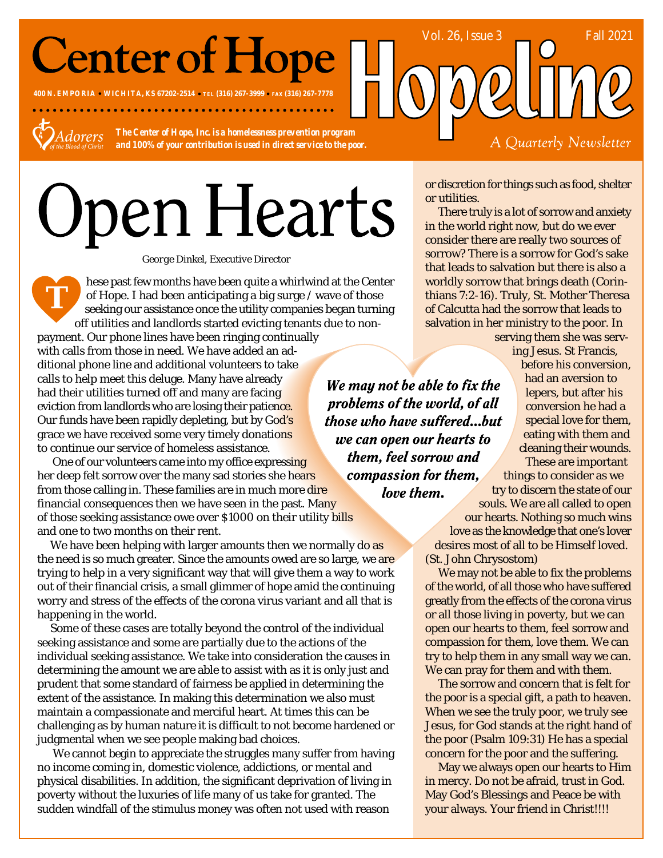## **Center of Hope**

**400 N. EMPORIA WICHITA, KS 67202-2514 TEL (316) 267-3999 FAX (316) 267-7778**



**T**

*The Center of Hope, Inc. is a homelessness prevention program and 100% of your contribution is used in direct service to the poor.*

. . . . . . . . . . . . . . . .

# Open Hearts

*George Dinkel, Executive Director*

hese past few months have been quite a whirlwind at the Center of Hope. I had been anticipating a big surge / wave of those seeking our assistance once the utility companies began turning off utilities and landlords started evicting tenants due to non-

payment. Our phone lines have been ringing continually with calls from those in need. We have added an additional phone line and additional volunteers to take calls to help meet this deluge. Many have already had their utilities turned off and many are facing eviction from landlords who are losing their patience. Our funds have been rapidly depleting, but by God's grace we have received some very timely donations to continue our service of homeless assistance.

 One of our volunteers came into my office expressing her deep felt sorrow over the many sad stories she hears from those calling in. These families are in much more dire financial consequences then we have seen in the past. Many of those seeking assistance owe over \$1000 on their utility bills and one to two months on their rent.

We have been helping with larger amounts then we normally do as the need is so much greater. Since the amounts owed are so large, we are trying to help in a very significant way that will give them a way to work out of their financial crisis, a small glimmer of hope amid the continuing worry and stress of the effects of the corona virus variant and all that is happening in the world.

Some of these cases are totally beyond the control of the individual seeking assistance and some are partially due to the actions of the individual seeking assistance. We take into consideration the causes in determining the amount we are able to assist with as it is only just and prudent that some standard of fairness be applied in determining the extent of the assistance. In making this determination we also must maintain a compassionate and merciful heart. At times this can be challenging as by human nature it is difficult to not become hardened or judgmental when we see people making bad choices.

 We cannot begin to appreciate the struggles many suffer from having no income coming in, domestic violence, addictions, or mental and physical disabilities. In addition, the significant deprivation of living in poverty without the luxuries of life many of us take for granted. The sudden windfall of the stimulus money was often not used with reason

or discretion for things such as food, shelter or utilities.

Vol. 26, Issue 3 Fall 2021

There truly is a lot of sorrow and anxiety in the world right now, but do we ever consider there are really two sources of sorrow? There is a sorrow for God's sake that leads to salvation but there is also a worldly sorrow that brings death (Corinthians 7:2-16). Truly, St. Mother Theresa of Calcutta had the sorrow that leads to salvation in her ministry to the poor. In

> serving them she was serving Jesus. St Francis,

A Quarterly Newsletter

We may not be able to fix the problems of the world, of all those who have suffered...but we can open our hearts to them, feel sorrow and compassion for them, love them.

before his conversion, had an aversion to lepers, but after his conversion he had a special love for them, eating with them and cleaning their wounds. These are important

things to consider as we try to discern the state of our souls. We are all called to open

our hearts. Nothing so much wins love as the knowledge that one's lover desires most of all to be Himself loved. (St. John Chrysostom)

We may not be able to fix the problems of the world, of all those who have suffered greatly from the effects of the corona virus or all those living in poverty, but we can open our hearts to them, feel sorrow and compassion for them, love them. We can try to help them in any small way we can. We can pray for them and with them.

The sorrow and concern that is felt for the poor is a special gift, a path to heaven. When we see the truly poor, we truly see Jesus, for God stands at the right hand of the poor (Psalm 109:31) He has a special concern for the poor and the suffering.

May we always open our hearts to Him in mercy. Do not be afraid, trust in God. May God's Blessings and Peace be with your always. Your friend in Christ!!!!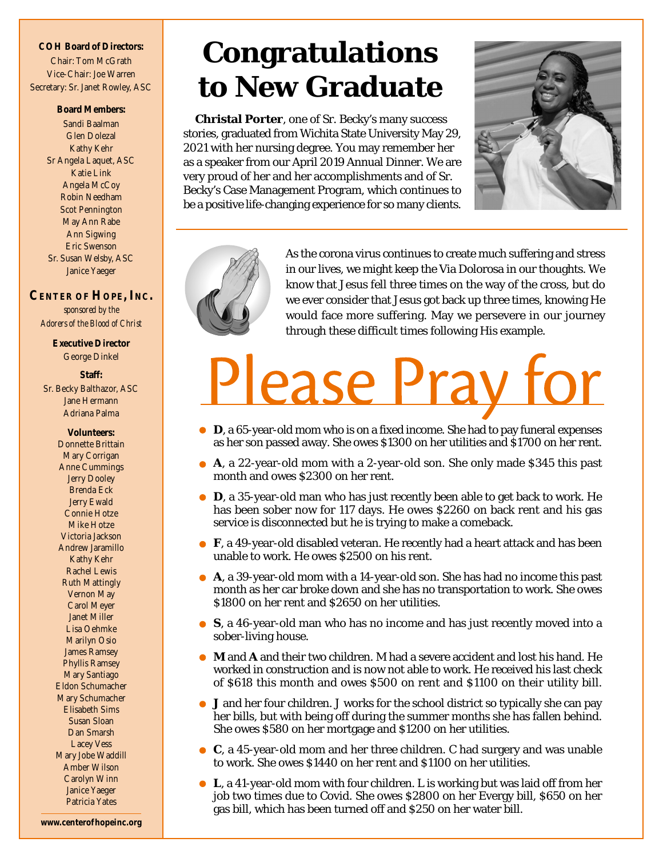#### **COH Board of Directors:** Chair: Tom McGrath Vice-Chair: Joe Warren Secretary: Sr. Janet Rowley, ASC

**Board Members:** Sandi Baalman Glen Dolezal Kathy Kehr Sr Angela Laquet, ASC Katie Link Angela McCoy Robin Needham Scot Pennington May Ann Rabe Ann Sigwing Eric Swenson Sr. Susan Welsby, ASC Janice Yaeger

### **CENTER OF HOPE, INC.** *sponsored by the Adorers of the Blood of Christ*

**Executive Director** George Dinkel

#### **Staff:** Sr. Becky Balthazor, ASC Jane Hermann Adriana Palma

**Volunteers:** Donnette Brittain Mary Corrigan Anne Cummings Jerry Dooley Brenda Eck Jerry Ewald Connie Hotze Mike Hotze Victoria Jackson Andrew Jaramillo Kathy Kehr Rachel Lewis Ruth Mattingly Vernon May Carol Meyer Janet Miller Lisa Oehmke Marilyn Osio James Ramsey Phyllis Ramsey Mary Santiago Eldon Schumacher Mary Schumacher Elisabeth Sims Susan Sloan Dan Smarsh Lacey Vess Mary Jobe Waddill Amber Wilson Carolyn Winn Janice Yaeger Patricia Yates

## **Congratulations to New Graduate**

**Christal Porter**, one of Sr. Becky's many success stories, graduated from Wichita State University May 29, 2021 with her nursing degree. You may remember her as a speaker from our April 2019 Annual Dinner. We are very proud of her and her accomplishments and of Sr. Becky's Case Management Program, which continues to be a positive life-changing experience for so many clients.





As the corona virus continues to create much suffering and stress in our lives, we might keep the Via Dolorosa in our thoughts. We know that Jesus fell three times on the way of the cross, but do we ever consider that Jesus got back up three times, knowing He would face more suffering. May we persevere in our journey through these difficult times following His example.

# Please Pray

- **D**, a 65-year-old mom who is on a fixed income. She had to pay funeral expenses as her son passed away. She owes \$1300 on her utilities and \$1700 on her rent.
- **A**, a 22-year-old mom with a 2-year-old son. She only made \$345 this past month and owes \$2300 on her rent.
- **D**, a 35-year-old man who has just recently been able to get back to work. He has been sober now for 117 days. He owes \$2260 on back rent and his gas service is disconnected but he is trying to make a comeback.
- **F**, a 49-year-old disabled veteran. He recently had a heart attack and has been unable to work. He owes \$2500 on his rent.
- **A**, a 39-year-old mom with a 14-year-old son. She has had no income this past month as her car broke down and she has no transportation to work. She owes \$1800 on her rent and \$2650 on her utilities.
- **S**, a 46-year-old man who has no income and has just recently moved into a sober-living house.
- **M** and **A** and their two children. M had a severe accident and lost his hand. He worked in construction and is now not able to work. He received his last check of \$618 this month and owes \$500 on rent and \$1100 on their utility bill.
- **J** and her four children. J works for the school district so typically she can pay her bills, but with being off during the summer months she has fallen behind. She owes \$580 on her mortgage and \$1200 on her utilities.
- **C**, a 45-year-old mom and her three children. C had surgery and was unable to work. She owes \$1440 on her rent and \$1100 on her utilities.
- **L**, a 41-year-old mom with four children. L is working but was laid off from her job two times due to Covid. She owes \$2800 on her Evergy bill, \$650 on her gas bill, which has been turned off and \$250 on her water bill.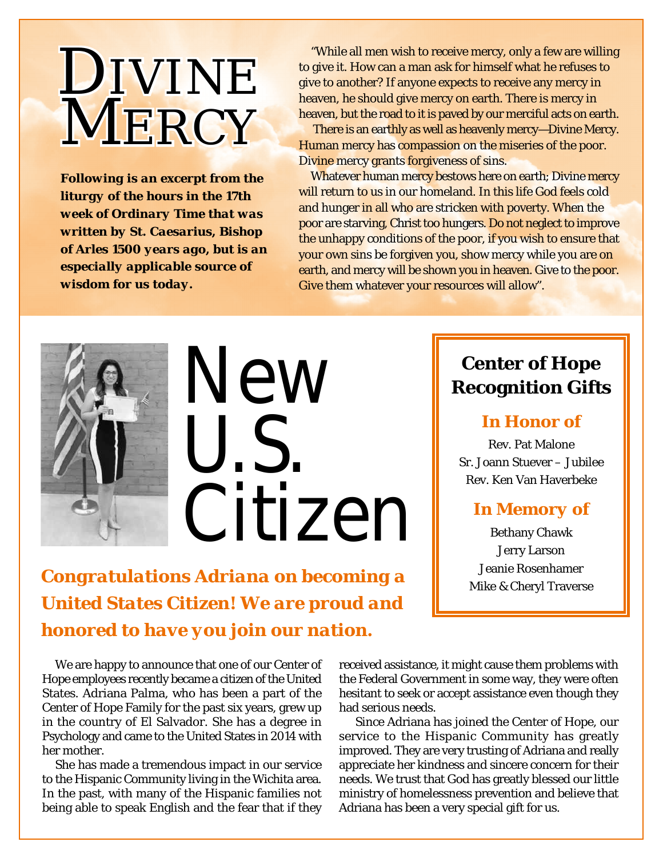## DIVINE **MERCY**

*Following is an excerpt from the liturgy of the hours in the 17th week of Ordinary Time that was written by St. Caesarius, Bishop of Arles 1500 years ago, but is an especially applicable source of wisdom for us today.*

"While all men wish to receive mercy, only a few are willing to give it. How can a man ask for himself what he refuses to give to another? If anyone expects to receive any mercy in heaven, he should give mercy on earth. There is mercy in heaven, but the road to it is paved by our merciful acts on earth.

 There is an earthly as well as heavenly mercy—Divine Mercy. Human mercy has compassion on the miseries of the poor. Divine mercy grants forgiveness of sins.

Whatever human mercy bestows here on earth; Divine mercy will return to us in our homeland. In this life God feels cold and hunger in all who are stricken with poverty. When the poor are starving, Christ too hungers. Do not neglect to improve the unhappy conditions of the poor, if you wish to ensure that your own sins be forgiven you, show mercy while you are on earth, and mercy will be shown you in heaven. Give to the poor. Give them whatever your resources will allow".



# New U.S. Citizen

*Congratulations Adriana on becoming a United States Citizen! We are proud and honored to have you join our nation.*

We are happy to announce that one of our Center of Hope employees recently became a citizen of the United States. Adriana Palma, who has been a part of the Center of Hope Family for the past six years, grew up in the country of El Salvador. She has a degree in Psychology and came to the United States in 2014 with her mother.

She has made a tremendous impact in our service to the Hispanic Community living in the Wichita area. In the past, with many of the Hispanic families not being able to speak English and the fear that if they received assistance, it might cause them problems with the Federal Government in some way, they were often hesitant to seek or accept assistance even though they had serious needs.

 Since Adriana has joined the Center of Hope, our service to the Hispanic Community has greatly improved. They are very trusting of Adriana and really appreciate her kindness and sincere concern for their needs. We trust that God has greatly blessed our little ministry of homelessness prevention and believe that Adriana has been a very special gift for us.

## **Center of Hope Recognition Gifts**

## *In Honor of*

Rev. Pat Malone Sr. Joann Stuever – Jubilee Rev. Ken Van Haverbeke

## *In Memory of*

Bethany Chawk Jerry Larson Jeanie Rosenhamer Mike & Cheryl Traverse